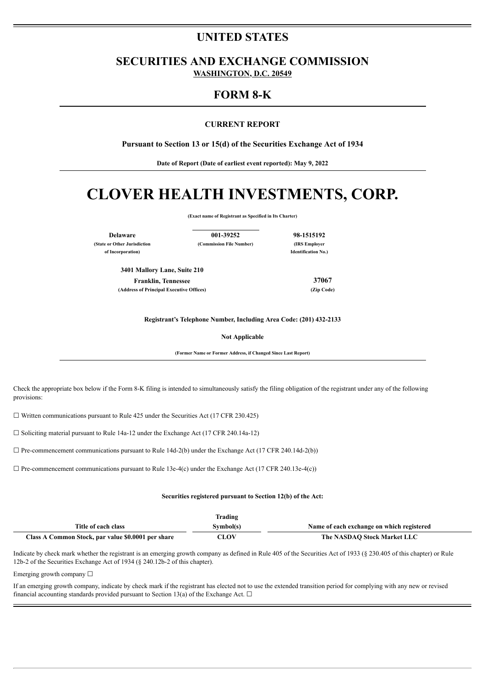# **UNITED STATES**

**SECURITIES AND EXCHANGE COMMISSION WASHINGTON, D.C. 20549**

## **FORM 8-K**

## **CURRENT REPORT**

**Pursuant to Section 13 or 15(d) of the Securities Exchange Act of 1934**

**Date of Report (Date of earliest event reported): May 9, 2022**

# **CLOVER HEALTH INVESTMENTS, CORP.**

**(Exact name of Registrant as Specified in Its Charter)**

**Delaware 001-39252 98-1515192**

**(State or Other Jurisdiction (Commission File Number) (IRS Employer**

**of Incorporation) Identification No.)**

**3401 Mallory Lane, Suite 210**

**Franklin, Tennessee 37067 (Address of Principal Executive Offices) (Zip Code)**

**Registrant's Telephone Number, Including Area Code: (201) 432-2133**

**Not Applicable**

**(Former Name or Former Address, if Changed Since Last Report)**

Check the appropriate box below if the Form 8-K filing is intended to simultaneously satisfy the filing obligation of the registrant under any of the following provisions:

 $\Box$  Written communications pursuant to Rule 425 under the Securities Act (17 CFR 230.425)

☐ Soliciting material pursuant to Rule 14a-12 under the Exchange Act (17 CFR 240.14a-12)

 $\Box$  Pre-commencement communications pursuant to Rule 14d-2(b) under the Exchange Act (17 CFR 240.14d-2(b))

 $\Box$  Pre-commencement communications pursuant to Rule 13e-4(c) under the Exchange Act (17 CFR 240.13e-4(c))

#### **Securities registered pursuant to Section 12(b) of the Act:**

|                                                    | <b>Trading</b> |                                           |
|----------------------------------------------------|----------------|-------------------------------------------|
| Title of each class                                | Svmbol(s)      | Name of each exchange on which registered |
| Class A Common Stock, par value \$0.0001 per share | CLOV           | The NASDAO Stock Market LLC               |

Indicate by check mark whether the registrant is an emerging growth company as defined in Rule 405 of the Securities Act of 1933 (§ 230.405 of this chapter) or Rule 12b-2 of the Securities Exchange Act of 1934 (§ 240.12b-2 of this chapter).

Emerging growth company  $\Box$ 

If an emerging growth company, indicate by check mark if the registrant has elected not to use the extended transition period for complying with any new or revised financial accounting standards provided pursuant to Section 13(a) of the Exchange Act.  $\Box$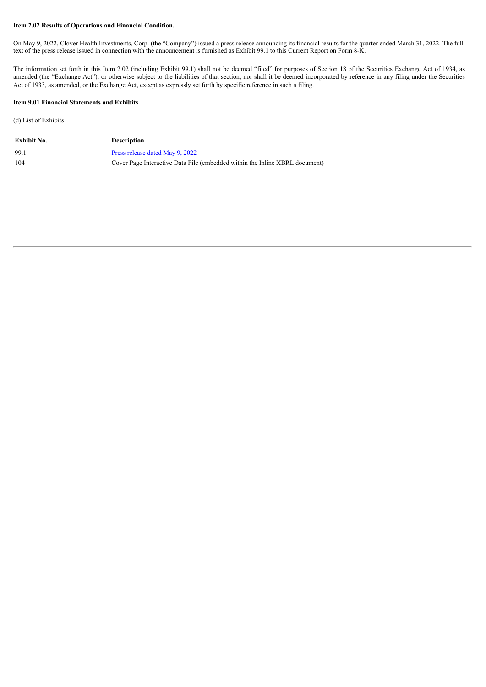## **Item 2.02 Results of Operations and Financial Condition.**

On May 9, 2022, Clover Health Investments, Corp. (the "Company") issued a press release announcing its financial results for the quarter ended March 31, 2022. The full text of the press release issued in connection with the announcement is furnished as Exhibit 99.1 to this Current Report on Form 8-K.

The information set forth in this Item 2.02 (including Exhibit 99.1) shall not be deemed "filed" for purposes of Section 18 of the Securities Exchange Act of 1934, as amended (the "Exchange Act"), or otherwise subject to the liabilities of that section, nor shall it be deemed incorporated by reference in any filing under the Securities Act of 1933, as amended, or the Exchange Act, except as expressly set forth by specific reference in such a filing.

## **Item 9.01 Financial Statements and Exhibits.**

(d) List of Exhibits

| Exhibit No. | <b>Description</b>                                                          |
|-------------|-----------------------------------------------------------------------------|
| 99.1        | Press release dated May 9, 2022                                             |
| 104         | Cover Page Interactive Data File (embedded within the Inline XBRL document) |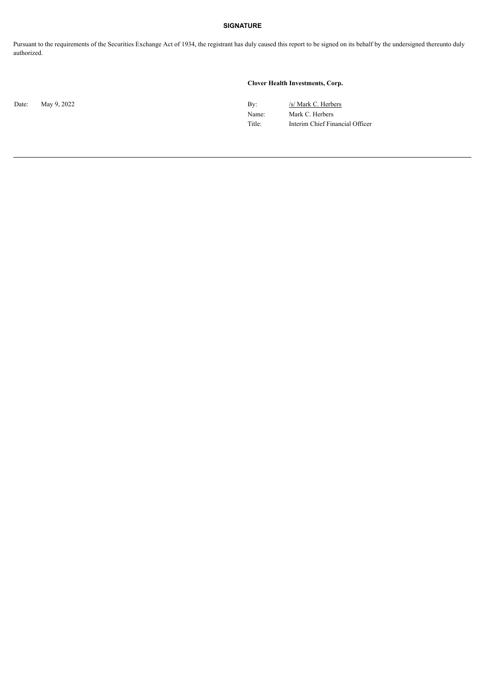## **SIGNATURE**

Pursuant to the requirements of the Securities Exchange Act of 1934, the registrant has duly caused this report to be signed on its behalf by the undersigned thereunto duly authorized.

## **Clover Health Investments, Corp.**

Date: May 9, 2022 By: /s/ Mark C. Herbers Name: Mark C. Herbers Title: Interim Chief Financial Officer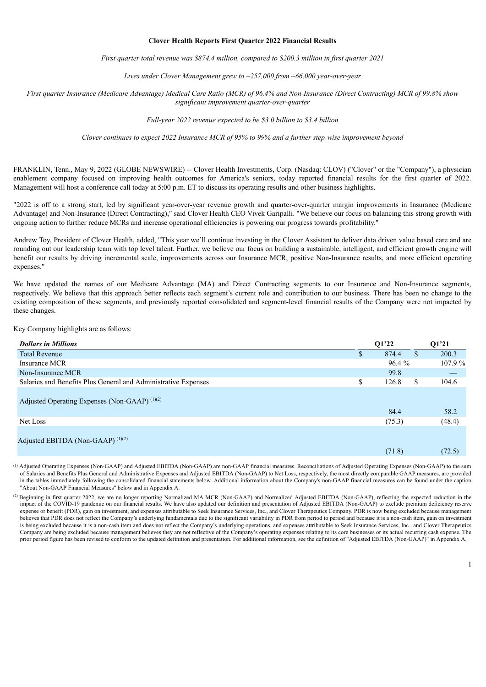#### **Clover Health Reports First Quarter 2022 Financial Results**

*First quarter total revenue was \$874.4 million, compared to \$200.3 million in first quarter 2021*

*Lives under Clover Management grew to ~257,000 from ~66,000 year-over-year*

<span id="page-3-0"></span>First quarter Insurance (Medicare Advantage) Medical Care Ratio (MCR) of 96.4% and Non-Insurance (Direct Contracting) MCR of 99.8% show *significant improvement quarter-over-quarter*

*Full-year 2022 revenue expected to be \$3.0 billion to \$3.4 billion*

*Clover continues to expect 2022 Insurance MCR of 95% to 99% and a further step-wise improvement beyond*

FRANKLIN, Tenn., May 9, 2022 (GLOBE NEWSWIRE) -- Clover Health Investments, Corp. (Nasdaq: CLOV) ("Clover" or the "Company"), a physician enablement company focused on improving health outcomes for America's seniors, today reported financial results for the first quarter of 2022. Management will host a conference call today at 5:00 p.m. ET to discuss its operating results and other business highlights.

"2022 is off to a strong start, led by significant year-over-year revenue growth and quarter-over-quarter margin improvements in Insurance (Medicare Advantage) and Non-Insurance (Direct Contracting)," said Clover Health CEO Vivek Garipalli. "We believe our focus on balancing this strong growth with ongoing action to further reduce MCRs and increase operational efficiencies is powering our progress towards profitability."

Andrew Toy, President of Clover Health, added, "This year we'll continue investing in the Clover Assistant to deliver data driven value based care and are rounding out our leadership team with top level talent. Further, we believe our focus on building a sustainable, intelligent, and efficient growth engine will benefit our results by driving incremental scale, improvements across our Insurance MCR, positive Non-Insurance results, and more efficient operating expenses."

We have updated the names of our Medicare Advantage (MA) and Direct Contracting segments to our Insurance and Non-Insurance segments, respectively. We believe that this approach better reflects each segment's current role and contribution to our business. There has been no change to the existing composition of these segments, and previously reported consolidated and segment-level financial results of the Company were not impacted by these changes.

Key Company highlights are as follows:

| <b>Dollars in Millions</b>                                     |    | Q1'22          | 01'21          |
|----------------------------------------------------------------|----|----------------|----------------|
| <b>Total Revenue</b>                                           | D. | 874.4          | \$<br>200.3    |
| Insurance MCR                                                  |    | 96.4 %         | 107.9%         |
| Non-Insurance MCR                                              |    | 99.8           |                |
| Salaries and Benefits Plus General and Administrative Expenses | \$ | 126.8          | \$<br>104.6    |
| Adjusted Operating Expenses (Non-GAAP) <sup>(1)(2)</sup>       |    |                |                |
| Net Loss                                                       |    | 84.4<br>(75.3) | 58.2<br>(48.4) |
|                                                                |    |                |                |
| Adjusted EBITDA (Non-GAAP) <sup>(1)(2)</sup>                   |    |                |                |
|                                                                |    | (71.8)         | (72.5)         |

Adjusted Operating Expenses (Non-GAAP) and Adjusted EBITDA (Non-GAAP) are non-GAAP financial measures. Reconciliations of Adjusted Operating Expenses (Non-GAAP) to the sum (1) of Salaries and Benefits Plus General and Administrative Expenses and Adjusted EBITDA (Non-GAAP) to Net Loss, respectively, the most directly comparable GAAP measures, are provided in the tables immediately following the consolidated financial statements below. Additional information about the Company's non-GAAP financial measures can be found under the caption "About Non-GAAP Financial Measures" below and in Appendix A.

<sup>&</sup>lt;sup>(2)</sup> Beginning in first quarter 2022, we are no longer reporting Normalized MA MCR (Non-GAAP) and Normalized Adjusted EBITDA (Non-GAAP), reflecting the expected reduction in the impact of the COVID-19 pandemic on our financial results. We have also updated our definition and presentation of Adjusted EBITDA (Non-GAAP) to exclude premium deficiency reserve expense or benefit (PDR), gain on investment, and expenses attributable to Seek Insurance Services, Inc., and Clover Therapeutics Company. PDR is now being excluded because management believes that PDR does not reflect the Company's underlying fundamentals due to the significant variability in PDR from period to period and because it is a non-cash item, gain on investment is being excluded because it is a non-cash item and does not reflect the Company's underlying operations, and expenses attributable to Seek Insurance Services, Inc., and Clover Therapeutics Company are being excluded because management believes they are not reflective of the Company's operating expenses relating to its core businesses or its actual recurring cash expense. The prior period figure has been revised to conform to the updated definition and presentation. For additional information, see the definition of "Adjusted EBITDA (Non-GAAP)" in Appendix A.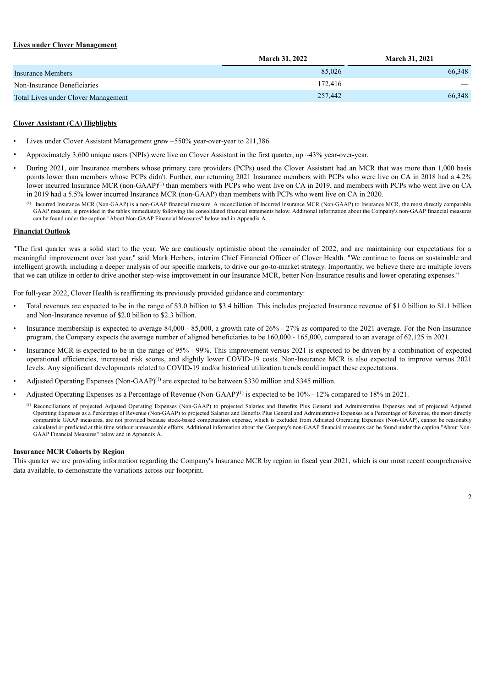## **Lives under Clover Management**

|                                            | <b>March 31, 2022</b> | <b>March 31, 2021</b>           |
|--------------------------------------------|-----------------------|---------------------------------|
| Insurance Members                          | 85,026                | 66,348                          |
| Non-Insurance Beneficiaries                | 172.416               | $\hspace{0.1mm}-\hspace{0.1mm}$ |
| <b>Total Lives under Clover Management</b> | 257,442               | 66,348                          |

## **Clover Assistant (CA) Highlights**

- Lives under Clover Assistant Management grew ~550% year-over-year to 211,386.
- Approximately 3,600 unique users (NPIs) were live on Clover Assistant in the first quarter, up ~43% year-over-year.
- During 2021, our Insurance members whose primary care providers (PCPs) used the Clover Assistant had an MCR that was more than 1,000 basis points lower than members whose PCPs didn't. Further, our returning 2021 Insurance members with PCPs who were live on CA in 2018 had a 4.2% lower incurred Insurance MCR (non-GAAP)<sup>(1)</sup> than members with PCPs who went live on CA in 2019, and members with PCPs who went live on CA in 2019 had a 5.5% lower incurred Insurance MCR (non-GAAP) than members with PCPs who went live on CA in 2020.
	- Incurred Insurance MCR (Non-GAAP) is a non-GAAP financial measure. A reconciliation of Incurred Insurance MCR (Non-GAAP) to Insurance MCR, the most directly comparable (1) GAAP measure, is provided in the tables immediately following the consolidated financial statements below. Additional information about the Company's non-GAAP financial measures can be found under the caption "About Non-GAAP Financial Measures" below and in Appendix A.

#### **Financial Outlook**

"The first quarter was a solid start to the year. We are cautiously optimistic about the remainder of 2022, and are maintaining our expectations for a meaningful improvement over last year," said Mark Herbers, interim Chief Financial Officer of Clover Health. "We continue to focus on sustainable and intelligent growth, including a deeper analysis of our specific markets, to drive our go-to-market strategy. Importantly, we believe there are multiple levers that we can utilize in order to drive another step-wise improvement in our Insurance MCR, better Non-Insurance results and lower operating expenses."

For full-year 2022, Clover Health is reaffirming its previously provided guidance and commentary:

- Total revenues are expected to be in the range of \$3.0 billion to \$3.4 billion. This includes projected Insurance revenue of \$1.0 billion to \$1.1 billion and Non-Insurance revenue of \$2.0 billion to \$2.3 billion.
- Insurance membership is expected to average 84,000 85,000, a growth rate of 26% 27% as compared to the 2021 average. For the Non-Insurance program, the Company expects the average number of aligned beneficiaries to be 160,000 - 165,000, compared to an average of 62,125 in 2021.
- Insurance MCR is expected to be in the range of 95% 99%. This improvement versus 2021 is expected to be driven by a combination of expected operational efficiencies, increased risk scores, and slightly lower COVID-19 costs. Non-Insurance MCR is also expected to improve versus 2021 levels. Any significant developments related to COVID-19 and/or historical utilization trends could impact these expectations.
- Adjusted Operating Expenses (Non-GAAP)<sup>(1)</sup> are expected to be between \$330 million and \$345 million.
- Adjusted Operating Expenses as a Percentage of Revenue (Non-GAAP)<sup>(1)</sup> is expected to be  $10\%$  12% compared to 18% in 2021.
	- <sup>(1)</sup> Reconciliations of projected Adjusted Operating Expenses (Non-GAAP) to projected Salaries and Benefits Plus General and Administrative Expenses and of projected Adjusted Operating Expenses as a Percentage of Revenue (Non-GAAP) to projected Salaries and Benefits Plus General and Administrative Expenses as a Percentage of Revenue, the most directly comparable GAAP measures, are not provided because stock-based compensation expense, which is excluded from Adjusted Operating Expenses (Non-GAAP), cannot be reasonably calculated or predicted at this time without unreasonable efforts. Additional information about the Company's non-GAAP financial measures can be found under the caption "About Non-GAAP Financial Measures" below and in Appendix A.

## **Insurance MCR Cohorts by Region**

This quarter we are providing information regarding the Company's Insurance MCR by region in fiscal year 2021, which is our most recent comprehensive data available, to demonstrate the variations across our footprint.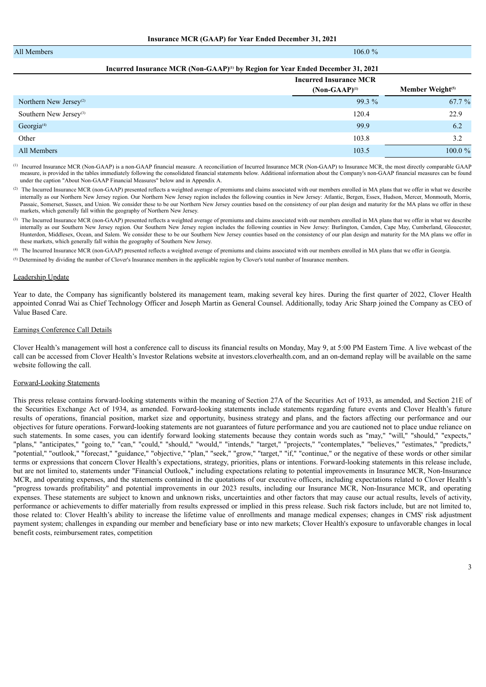| All Members                        | $106.0 \%$                                          |                              |
|------------------------------------|-----------------------------------------------------|------------------------------|
|                                    |                                                     |                              |
|                                    | <b>Incurred Insurance MCR</b><br>$(Non-GAAP)^{(1)}$ | Member Weight <sup>(5)</sup> |
| Northern New Jersey <sup>(2)</sup> | $99.3\%$                                            | 67.7 %                       |
| Southern New Jersey <sup>(3)</sup> | 120.4                                               | 22.9                         |
| Georgia <sup>(4)</sup>             | 99.9                                                | 6.2                          |
| Other                              | 103.8                                               | 3.2                          |
| All Members                        | 103.5                                               | $100.0 \%$                   |

 $^{(1)}$  Incurred Insurance MCR (Non-GAAP) is a non-GAAP financial measure. A reconciliation of Incurred Insurance MCR (Non-GAAP) to Insurance MCR, the most directly comparable GAAP measure, is provided in the tables immediately following the consolidated financial statements below. Additional information about the Company's non-GAAP financial measures can be found under the caption "About Non-GAAP Financial Measures" below and in Appendix A.

 $^{(2)}$  The Incurred Insurance MCR (non-GAAP) presented reflects a weighted average of premiums and claims associated with our members enrolled in MA plans that we offer in what we describe internally as our Northern New Jersey region. Our Northern New Jersey region includes the following counties in New Jersey: Atlantic, Bergen, Essex, Hudson, Mercer, Monmouth, Morris, Passaic, Somerset, Sussex, and Union. We consider these to be our Northern New Jersey counties based on the consistency of our plan design and maturity for the MA plans we offer in these markets, which generally fall within the geography of Northern New Jersey.

The Incurred Insurance MCR (non-GAAP) presented reflects a weighted average of premiums and claims associated with our members enrolled in MA plans that we offer in what we describe (3) internally as our Southern New Jersey region. Our Southern New Jersey region includes the following counties in New Jersey: Burlington, Camden, Cape May, Cumberland, Gloucester, Hunterdon, Middlesex, Ocean, and Salem. We consider these to be our Southern New Jersey counties based on the consistency of our plan design and maturity for the MA plans we offer in these markets, which generally fall within the geography of Southern New Jersey.

The Incurred Insurance MCR (non-GAAP) presented reflects a weighted average of premiums and claims associated with our members enrolled in MA plans that we offer in Georgia. (4)

Determined by dividing the number of Clover's Insurance members in the applicable region by Clover's total number of Insurance members. (5)

#### Leadership Update

Year to date, the Company has significantly bolstered its management team, making several key hires. During the first quarter of 2022, Clover Health appointed Conrad Wai as Chief Technology Officer and Joseph Martin as General Counsel. Additionally, today Aric Sharp joined the Company as CEO of Value Based Care.

#### Earnings Conference Call Details

Clover Health's management will host a conference call to discuss its financial results on Monday, May 9, at 5:00 PM Eastern Time. A live webcast of the call can be accessed from Clover Health's Investor Relations website at investors.cloverhealth.com, and an on-demand replay will be available on the same website following the call.

#### Forward-Looking Statements

This press release contains forward-looking statements within the meaning of Section 27A of the Securities Act of 1933, as amended, and Section 21E of the Securities Exchange Act of 1934, as amended. Forward-looking statements include statements regarding future events and Clover Health's future results of operations, financial position, market size and opportunity, business strategy and plans, and the factors affecting our performance and our objectives for future operations. Forward-looking statements are not guarantees of future performance and you are cautioned not to place undue reliance on such statements. In some cases, you can identify forward looking statements because they contain words such as "may," "will," "should," "expects," "plans," "anticipates," "going to," "can," "could," "should," "would," "intends," "target," "projects," "contemplates," "believes," "estimates," "predicts," "potential," "outlook," "forecast," "guidance," "objective," "plan," "seek," "grow," "target," "if," "continue," or the negative of these words or other similar terms or expressions that concern Clover Health's expectations, strategy, priorities, plans or intentions. Forward-looking statements in this release include, but are not limited to, statements under "Financial Outlook," including expectations relating to potential improvements in Insurance MCR, Non-Insurance MCR, and operating expenses, and the statements contained in the quotations of our executive officers, including expectations related to Clover Health's "progress towards profitability" and potential improvements in our 2023 results, including our Insurance MCR, Non-Insurance MCR, and operating expenses. These statements are subject to known and unknown risks, uncertainties and other factors that may cause our actual results, levels of activity, performance or achievements to differ materially from results expressed or implied in this press release. Such risk factors include, but are not limited to, those related to: Clover Health's ability to increase the lifetime value of enrollments and manage medical expenses; changes in CMS' risk adjustment payment system; challenges in expanding our member and beneficiary base or into new markets; Clover Health's exposure to unfavorable changes in local benefit costs, reimbursement rates, competition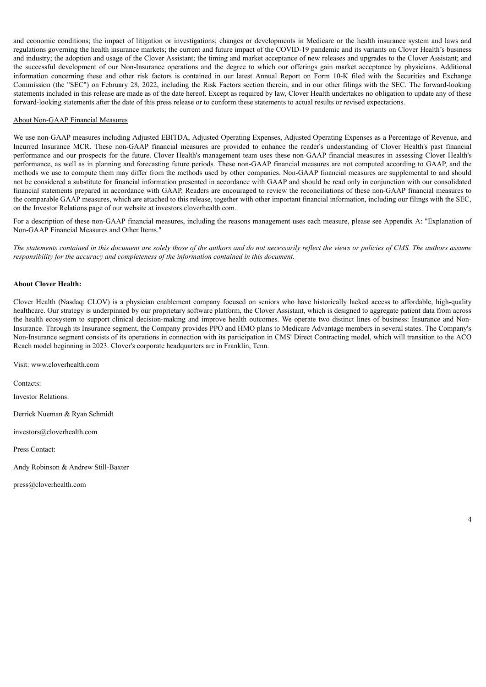and economic conditions; the impact of litigation or investigations; changes or developments in Medicare or the health insurance system and laws and regulations governing the health insurance markets; the current and future impact of the COVID-19 pandemic and its variants on Clover Health's business and industry; the adoption and usage of the Clover Assistant; the timing and market acceptance of new releases and upgrades to the Clover Assistant; and the successful development of our Non-Insurance operations and the degree to which our offerings gain market acceptance by physicians. Additional information concerning these and other risk factors is contained in our latest Annual Report on Form 10-K filed with the Securities and Exchange Commission (the "SEC") on February 28, 2022, including the Risk Factors section therein, and in our other filings with the SEC. The forward-looking statements included in this release are made as of the date hereof. Except as required by law, Clover Health undertakes no obligation to update any of these forward-looking statements after the date of this press release or to conform these statements to actual results or revised expectations.

## About Non-GAAP Financial Measures

We use non-GAAP measures including Adjusted EBITDA, Adjusted Operating Expenses, Adjusted Operating Expenses as a Percentage of Revenue, and Incurred Insurance MCR. These non-GAAP financial measures are provided to enhance the reader's understanding of Clover Health's past financial performance and our prospects for the future. Clover Health's management team uses these non-GAAP financial measures in assessing Clover Health's performance, as well as in planning and forecasting future periods. These non-GAAP financial measures are not computed according to GAAP, and the methods we use to compute them may differ from the methods used by other companies. Non-GAAP financial measures are supplemental to and should not be considered a substitute for financial information presented in accordance with GAAP and should be read only in conjunction with our consolidated financial statements prepared in accordance with GAAP. Readers are encouraged to review the reconciliations of these non-GAAP financial measures to the comparable GAAP measures, which are attached to this release, together with other important financial information, including our filings with the SEC, on the Investor Relations page of our website at investors.cloverhealth.com.

For a description of these non-GAAP financial measures, including the reasons management uses each measure, please see Appendix A: "Explanation of Non-GAAP Financial Measures and Other Items."

The statements contained in this document are solely those of the authors and do not necessarily reflect the views or policies of CMS. The authors assume *responsibility for the accuracy and completeness of the information contained in this document.*

## **About Clover Health:**

Clover Health (Nasdaq: CLOV) is a physician enablement company focused on seniors who have historically lacked access to affordable, high-quality healthcare. Our strategy is underpinned by our proprietary software platform, the Clover Assistant, which is designed to aggregate patient data from across the health ecosystem to support clinical decision-making and improve health outcomes. We operate two distinct lines of business: Insurance and Non-Insurance. Through its Insurance segment, the Company provides PPO and HMO plans to Medicare Advantage members in several states. The Company's Non-Insurance segment consists of its operations in connection with its participation in CMS' Direct Contracting model, which will transition to the ACO Reach model beginning in 2023. Clover's corporate headquarters are in Franklin, Tenn.

Visit: www.cloverhealth.com

Contacts:

Investor Relations:

Derrick Nueman & Ryan Schmidt

investors@cloverhealth.com

Press Contact:

Andy Robinson & Andrew Still-Baxter

press@cloverhealth.com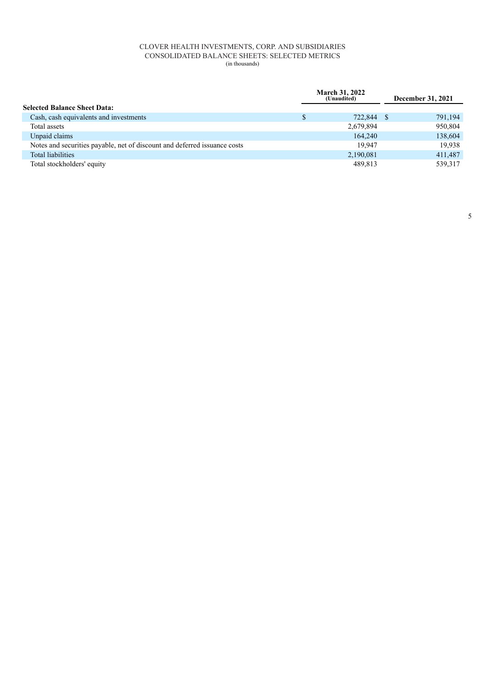## CLOVER HEALTH INVESTMENTS, CORP. AND SUBSIDIARIES CONSOLIDATED BALANCE SHEETS: SELECTED METRICS (in thousands)

|                                                                           | <b>March 31, 2022</b><br>(Unaudited) | December 31, 2021 |
|---------------------------------------------------------------------------|--------------------------------------|-------------------|
| <b>Selected Balance Sheet Data:</b>                                       |                                      |                   |
| Cash, cash equivalents and investments                                    | 722,844 \$                           | 791,194           |
| Total assets                                                              | 2,679,894                            | 950,804           |
| Unpaid claims                                                             | 164,240                              | 138,604           |
| Notes and securities payable, net of discount and deferred issuance costs | 19.947                               | 19,938            |
| <b>Total liabilities</b>                                                  | 2,190,081                            | 411,487           |
| Total stockholders' equity                                                | 489,813                              | 539,317           |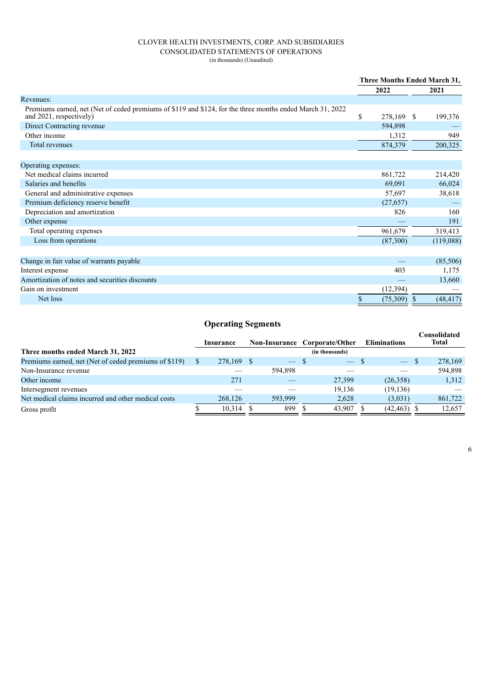## CLOVER HEALTH INVESTMENTS, CORP. AND SUBSIDIARIES CONSOLIDATED STATEMENTS OF OPERATIONS (in thousands) (Unaudited)

|                                                                                                                                      | Three Months Ended March 31, |               |  |           |  |
|--------------------------------------------------------------------------------------------------------------------------------------|------------------------------|---------------|--|-----------|--|
|                                                                                                                                      |                              | 2022          |  | 2021      |  |
| Revenues:                                                                                                                            |                              |               |  |           |  |
| Premiums earned, net (Net of ceded premiums of \$119 and \$124, for the three months ended March 31, 2022<br>and 2021, respectively) | \$                           | 278,169 \$    |  | 199,376   |  |
| Direct Contracting revenue                                                                                                           |                              | 594,898       |  |           |  |
| Other income                                                                                                                         |                              | 1,312         |  | 949       |  |
| Total revenues                                                                                                                       |                              | 874,379       |  | 200,325   |  |
|                                                                                                                                      |                              |               |  |           |  |
| Operating expenses:                                                                                                                  |                              |               |  |           |  |
| Net medical claims incurred                                                                                                          |                              | 861,722       |  | 214,420   |  |
| Salaries and benefits                                                                                                                |                              | 69,091        |  | 66,024    |  |
| General and administrative expenses                                                                                                  |                              | 57,697        |  | 38,618    |  |
| Premium deficiency reserve benefit                                                                                                   |                              | (27, 657)     |  |           |  |
| Depreciation and amortization                                                                                                        |                              | 826           |  | 160       |  |
| Other expense                                                                                                                        |                              |               |  | 191       |  |
| Total operating expenses                                                                                                             |                              | 961,679       |  | 319,413   |  |
| Loss from operations                                                                                                                 |                              | (87,300)      |  | (119,088) |  |
|                                                                                                                                      |                              |               |  |           |  |
| Change in fair value of warrants payable                                                                                             |                              |               |  | (85,506)  |  |
| Interest expense                                                                                                                     |                              | 403           |  | 1,175     |  |
| Amortization of notes and securities discounts                                                                                       |                              |               |  | 13,660    |  |
| Gain on investment                                                                                                                   |                              | (12, 394)     |  |           |  |
| Net loss                                                                                                                             | \$                           | $(75,309)$ \$ |  | (48, 417) |  |

# **Operating Segments**

|         |           |            |                |                                        |                     | Consolidated<br>Total    |
|---------|-----------|------------|----------------|----------------------------------------|---------------------|--------------------------|
|         |           |            | (in thousands) |                                        |                     |                          |
|         |           |            |                |                                        |                     | 278,169                  |
|         |           | 594.898    |                |                                        |                     | 594,898                  |
| 271     |           |            | 27,399         | (26,358)                               |                     | 1,312                    |
|         |           |            | 19.136         | (19, 136)                              |                     |                          |
| 268,126 |           | 593,999    | 2,628          | (3,031)                                |                     | 861,722                  |
| 10.314  |           | 899        | 43.907         |                                        |                     | 12.657                   |
|         | Insurance | 278,169 \$ | $-$ S          | Non-Insurance Corporate/Other<br>$-$ S | <b>Eliminations</b> | $-$ \$<br>$(42, 463)$ \$ |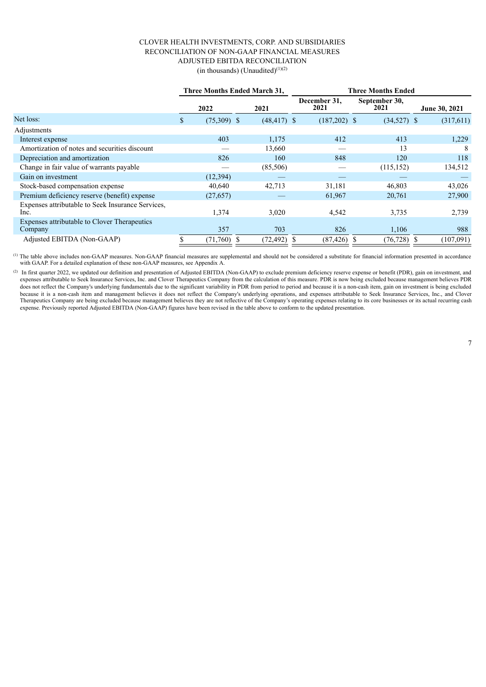## CLOVER HEALTH INVESTMENTS, CORP. AND SUBSIDIARIES RECONCILIATION OF NON-GAAP FINANCIAL MEASURES ADJUSTED EBITDA RECONCILIATION  $(in thousands)$  (Unaudited) $(1)(2)$

|                                                           | Three Months Ended March 31, |                | <b>Three Months Ended</b> |                      |  |                       |  |               |
|-----------------------------------------------------------|------------------------------|----------------|---------------------------|----------------------|--|-----------------------|--|---------------|
|                                                           | 2022                         | 2021           |                           | December 31,<br>2021 |  | September 30,<br>2021 |  | June 30, 2021 |
| Net loss:                                                 | \$<br>$(75,309)$ \$          | $(48, 417)$ \$ |                           | $(187,202)$ \$       |  | $(34,527)$ \$         |  | (317,611)     |
| Adjustments                                               |                              |                |                           |                      |  |                       |  |               |
| Interest expense                                          | 403                          | 1,175          |                           | 412                  |  | 413                   |  | 1,229         |
| Amortization of notes and securities discount             |                              | 13,660         |                           |                      |  | 13                    |  | 8             |
| Depreciation and amortization                             | 826                          | 160            |                           | 848                  |  | 120                   |  | 118           |
| Change in fair value of warrants payable                  |                              | (85,506)       |                           |                      |  | (115, 152)            |  | 134,512       |
| Gain on investment                                        | (12, 394)                    |                |                           |                      |  |                       |  |               |
| Stock-based compensation expense                          | 40,640                       | 42,713         |                           | 31,181               |  | 46,803                |  | 43,026        |
| Premium deficiency reserve (benefit) expense              | (27, 657)                    |                |                           | 61,967               |  | 20,761                |  | 27,900        |
| Expenses attributable to Seek Insurance Services.<br>Inc. | 1,374                        | 3,020          |                           | 4,542                |  | 3,735                 |  | 2,739         |
| Expenses attributable to Clover Therapeutics<br>Company   | 357                          | 703            |                           | 826                  |  | 1,106                 |  | 988           |
| Adjusted EBITDA (Non-GAAP)                                | (71,760)                     | (72, 492)      |                           | $(87, 426)$ \$       |  | $(76, 728)$ \$        |  | (107,091)     |

 $<sup>(1)</sup>$  The table above includes non-GAAP measures. Non-GAAP financial measures are supplemental and should not be considered a substitute for financial information presented in accordance</sup> with GAAP. For a detailed explanation of these non-GAAP measures, see Appendix A.

(2) In first quarter 2022, we updated our definition and presentation of Adjusted EBITDA (Non-GAAP) to exclude premium deficiency reserve expense or benefit (PDR), gain on investment, and expenses attributable to Seek Insurance Services, Inc. and Clover Therapeutics Company from the calculation of this measure. PDR is now being excluded because management believes PDR does not reflect the Company's underlying fundamentals due to the significant variability in PDR from period to period and because it is a non-cash item, gain on investment is being excluded because it is a non-cash item and management believes it does not reflect the Company's underlying operations, and expenses attributable to Seek Insurance Services, Inc., and Clover Therapeutics Company are being excluded because management believes they are not reflective of the Company's operating expenses relating to its core businesses or its actual recurring cash expense. Previously reported Adjusted EBITDA (Non-GAAP) figures have been revised in the table above to conform to the updated presentation.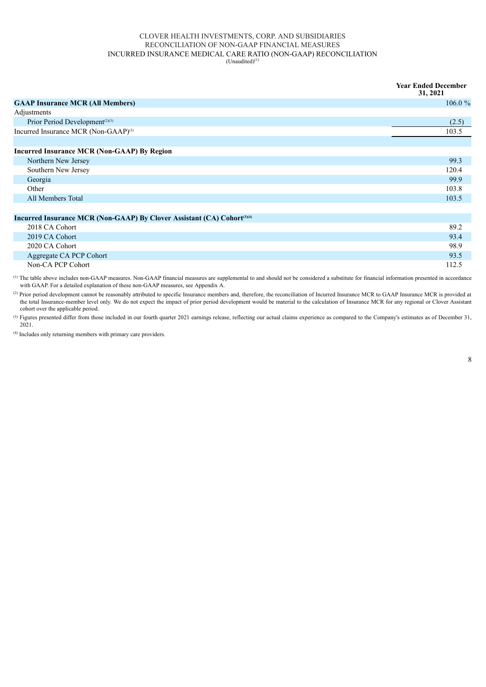#### CLOVER HEALTH INVESTMENTS, CORP. AND SUBSIDIARIES RECONCILIATION OF NON-GAAP FINANCIAL MEASURES INCURRED INSURANCE MEDICAL CARE RATIO (NON-GAAP) RECONCILIATION  $(Unaudited)^{(1)}$

|                                                                                     | <b>Year Ended December</b><br>31, 2021 |
|-------------------------------------------------------------------------------------|----------------------------------------|
| <b>GAAP Insurance MCR (All Members)</b>                                             | $106.0 \%$                             |
| Adjustments                                                                         |                                        |
| Prior Period Development <sup>(2)(3)</sup>                                          | (2.5)                                  |
| Incurred Insurance MCR (Non-GAAP) <sup>(3)</sup>                                    | 103.5                                  |
|                                                                                     |                                        |
| <b>Incurred Insurance MCR (Non-GAAP) By Region</b>                                  |                                        |
| Northern New Jersey                                                                 | 99.3                                   |
| Southern New Jersey                                                                 | 120.4                                  |
| Georgia                                                                             | 99.9                                   |
| Other                                                                               | 103.8                                  |
| All Members Total                                                                   | 103.5                                  |
|                                                                                     |                                        |
| Incurred Insurance MCR (Non-GAAP) By Clover Assistant (CA) Cohort <sup>(3)(4)</sup> |                                        |

| 2018 CA Cohort          | 89.2  |
|-------------------------|-------|
| 2019 CA Cohort          | 93.4  |
| 2020 CA Cohort          | 98.9  |
| Aggregate CA PCP Cohort | 93.5  |
| Non-CA PCP Cohort       | 112.5 |

The table above includes non-GAAP measures. Non-GAAP financial measures are supplemental to and should not be considered a substitute for financial information presented in accordance with GAAP. For a detailed explanation of these non-GAAP measures, see Appendix A. (1)

<sup>(2)</sup> Prior period development cannot be reasonably attributed to specific Insurance members and, therefore, the reconciliation of Incurred Insurance MCR to GAAP Insurance MCR is provided at the total Insurance-member level only. We do not expect the impact of prior period development would be material to the calculation of Insurance MCR for any regional or Clover Assistant cohort over the applicable period.

Figures presented differ from those included in our fourth quarter 2021 earnings release, reflecting our actual claims experience as compared to the Company's estimates as of December 31, (3) 2021.

 $(4)$  Includes only returning members with primary care providers.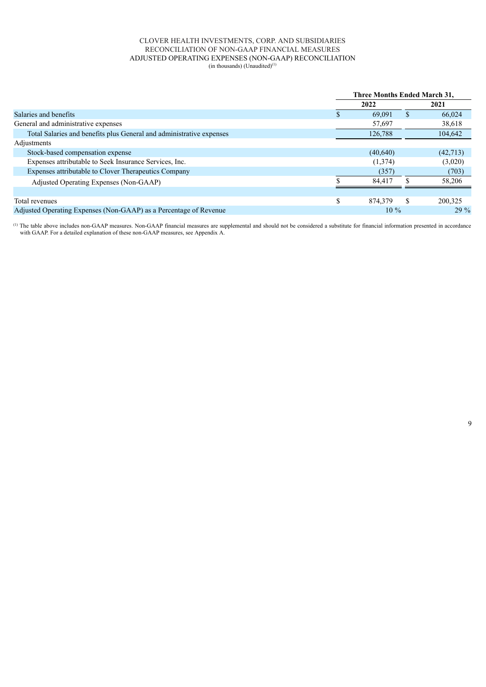## CLOVER HEALTH INVESTMENTS, CORP. AND SUBSIDIARIES RECONCILIATION OF NON-GAAP FINANCIAL MEASURES ADJUSTED OPERATING EXPENSES (NON-GAAP) RECONCILIATION  $(in thousands)$  (Unaudited) $<sup>(1)</sup>$ </sup>

|                                                                      | Three Months Ended March 31, |    |          |  |  |
|----------------------------------------------------------------------|------------------------------|----|----------|--|--|
|                                                                      | 2022                         |    | 2021     |  |  |
| Salaries and benefits                                                | 69.091                       | \$ | 66,024   |  |  |
| General and administrative expenses                                  | 57,697                       |    | 38,618   |  |  |
| Total Salaries and benefits plus General and administrative expenses | 126,788                      |    | 104,642  |  |  |
| Adjustments                                                          |                              |    |          |  |  |
| Stock-based compensation expense                                     | (40,640)                     |    | (42,713) |  |  |
| Expenses attributable to Seek Insurance Services, Inc.               | (1,374)                      |    | (3,020)  |  |  |
| Expenses attributable to Clover Therapeutics Company                 | (357)                        |    | (703)    |  |  |
| Adjusted Operating Expenses (Non-GAAP)                               | 84.417                       |    | 58,206   |  |  |
|                                                                      |                              |    |          |  |  |
| Total revenues                                                       | \$<br>874.379                | \$ | 200,325  |  |  |
| Adjusted Operating Expenses (Non-GAAP) as a Percentage of Revenue    | $10\%$                       |    | $29\%$   |  |  |

The table above includes non-GAAP measures. Non-GAAP financial measures are supplemental and should not be considered a substitute for financial information presented in accordance (1) with GAAP. For a detailed explanation of these non-GAAP measures, see Appendix A.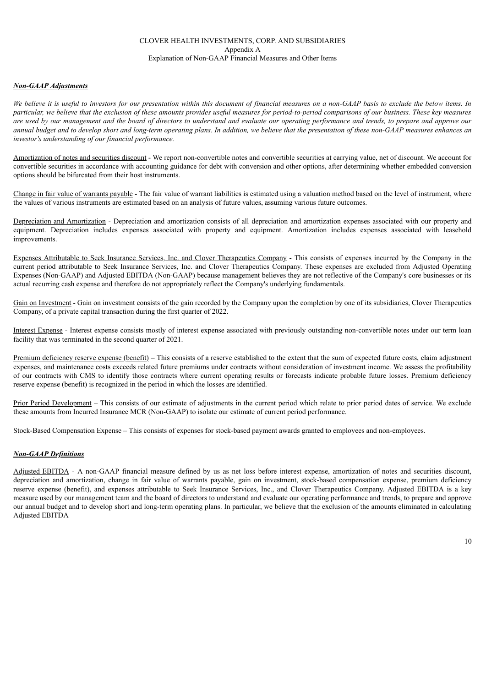## CLOVER HEALTH INVESTMENTS, CORP. AND SUBSIDIARIES Appendix A Explanation of Non-GAAP Financial Measures and Other Items

#### *Non-GAAP Adjustments*

We believe it is useful to investors for our presentation within this document of financial measures on a non-GAAP basis to exclude the below items. In particular, we believe that the exclusion of these amounts provides useful measures for period-to-period comparisons of our business. These key measures are used by our management and the board of directors to understand and evaluate our operating performance and trends, to prepare and approve our annual budget and to develop short and long-term operating plans. In addition, we believe that the presentation of these non-GAAP measures enhances an *investor's understanding of our financial performance.*

Amortization of notes and securities discount - We report non-convertible notes and convertible securities at carrying value, net of discount. We account for convertible securities in accordance with accounting guidance for debt with conversion and other options, after determining whether embedded conversion options should be bifurcated from their host instruments.

Change in fair value of warrants payable - The fair value of warrant liabilities is estimated using a valuation method based on the level of instrument, where the values of various instruments are estimated based on an analysis of future values, assuming various future outcomes.

Depreciation and Amortization - Depreciation and amortization consists of all depreciation and amortization expenses associated with our property and equipment. Depreciation includes expenses associated with property and equipment. Amortization includes expenses associated with leasehold improvements.

Expenses Attributable to Seek Insurance Services, Inc. and Clover Therapeutics Company - This consists of expenses incurred by the Company in the current period attributable to Seek Insurance Services, Inc. and Clover Therapeutics Company. These expenses are excluded from Adjusted Operating Expenses (Non-GAAP) and Adjusted EBITDA (Non-GAAP) because management believes they are not reflective of the Company's core businesses or its actual recurring cash expense and therefore do not appropriately reflect the Company's underlying fundamentals.

Gain on Investment - Gain on investment consists of the gain recorded by the Company upon the completion by one of its subsidiaries, Clover Therapeutics Company, of a private capital transaction during the first quarter of 2022.

Interest Expense - Interest expense consists mostly of interest expense associated with previously outstanding non-convertible notes under our term loan facility that was terminated in the second quarter of 2021.

Premium deficiency reserve expense (benefit) – This consists of a reserve established to the extent that the sum of expected future costs, claim adjustment expenses, and maintenance costs exceeds related future premiums under contracts without consideration of investment income. We assess the profitability of our contracts with CMS to identify those contracts where current operating results or forecasts indicate probable future losses. Premium deficiency reserve expense (benefit) is recognized in the period in which the losses are identified.

Prior Period Development – This consists of our estimate of adjustments in the current period which relate to prior period dates of service. We exclude these amounts from Incurred Insurance MCR (Non-GAAP) to isolate our estimate of current period performance.

Stock-Based Compensation Expense – This consists of expenses for stock-based payment awards granted to employees and non-employees.

## *Non-GAAP Definitions*

Adjusted EBITDA - A non-GAAP financial measure defined by us as net loss before interest expense, amortization of notes and securities discount, depreciation and amortization, change in fair value of warrants payable, gain on investment, stock-based compensation expense, premium deficiency reserve expense (benefit), and expenses attributable to Seek Insurance Services, Inc., and Clover Therapeutics Company. Adjusted EBITDA is a key measure used by our management team and the board of directors to understand and evaluate our operating performance and trends, to prepare and approve our annual budget and to develop short and long-term operating plans. In particular, we believe that the exclusion of the amounts eliminated in calculating Adjusted EBITDA